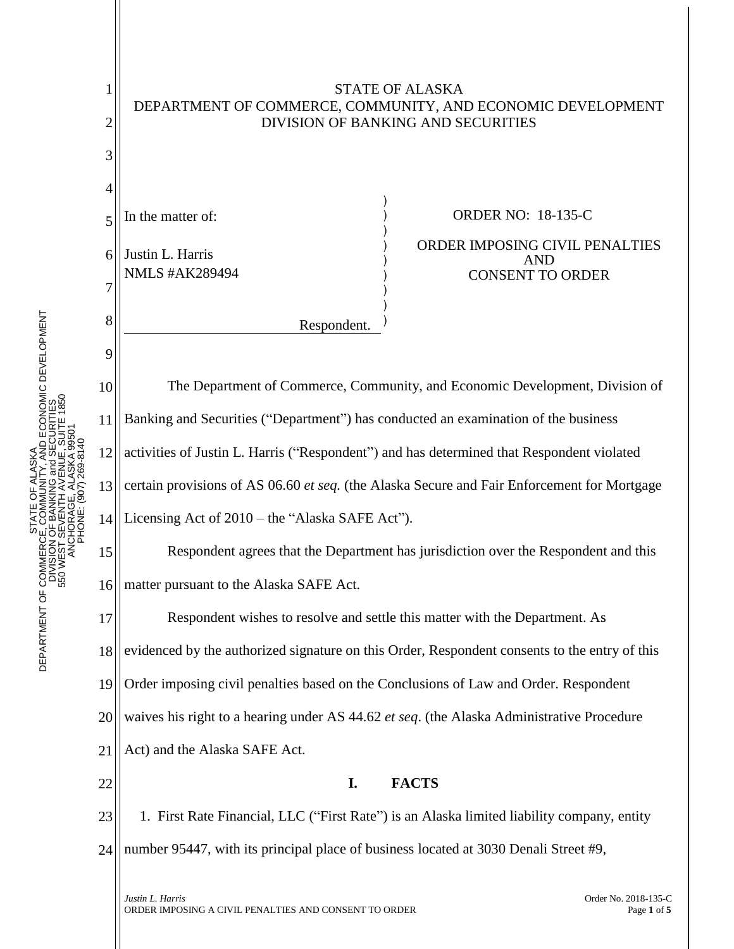

STATE OF ALASKA DEPARTMENT OF COMMERCE, COMMUNITY, AND ECONOMIC DEVELOPMENT

SKÅ<br>/ AVD ECONOMIC DEVELOPMENT<br>UE, SUITE 1850<br>UE, SUITE 1850 DEPARTMENT OF COMMERCE, COMMUNITY, AND ECONOMIC DEVELOPMENT 550 WEST SEVENTH AVENUE, SUITE 1850 DIVISION OF BANKING and SECURITIES ANCHORAGE, ALASKA 99501 PHONE: (907) 269-8140 STATE OF ALASKA DEPARTMENT OF COMMERCI<br>DIVISION<br>S50 WEST S

1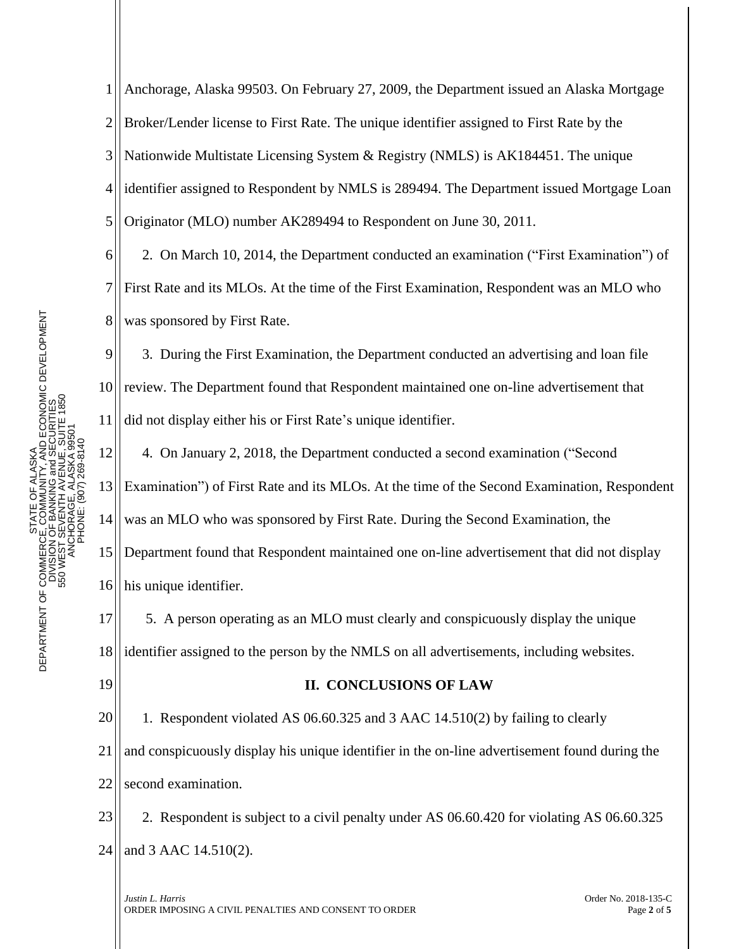1 2 3 4 5 Anchorage, Alaska 99503. On February 27, 2009, the Department issued an Alaska Mortgage Broker/Lender license to First Rate. The unique identifier assigned to First Rate by the Nationwide Multistate Licensing System & Registry (NMLS) is AK184451. The unique identifier assigned to Respondent by NMLS is 289494. The Department issued Mortgage Loan Originator (MLO) number AK289494 to Respondent on June 30, 2011.

6 7 8 2. On March 10, 2014, the Department conducted an examination ("First Examination") of First Rate and its MLOs. At the time of the First Examination, Respondent was an MLO who was sponsored by First Rate.

9 10 11 3. During the First Examination, the Department conducted an advertising and loan file review. The Department found that Respondent maintained one on-line advertisement that did not display either his or First Rate's unique identifier.

12 13 14 15 16 4. On January 2, 2018, the Department conducted a second examination ("Second Examination") of First Rate and its MLOs. At the time of the Second Examination, Respondent was an MLO who was sponsored by First Rate. During the Second Examination, the Department found that Respondent maintained one on-line advertisement that did not display his unique identifier.

17 18 5. A person operating as an MLO must clearly and conspicuously display the unique identifier assigned to the person by the NMLS on all advertisements, including websites.

19

## **II. CONCLUSIONS OF LAW**

20 21 22 1. Respondent violated AS 06.60.325 and 3 AAC 14.510(2) by failing to clearly and conspicuously display his unique identifier in the on-line advertisement found during the second examination.

23 24 2. Respondent is subject to a civil penalty under AS 06.60.420 for violating AS 06.60.325 and 3 AAC 14.510(2).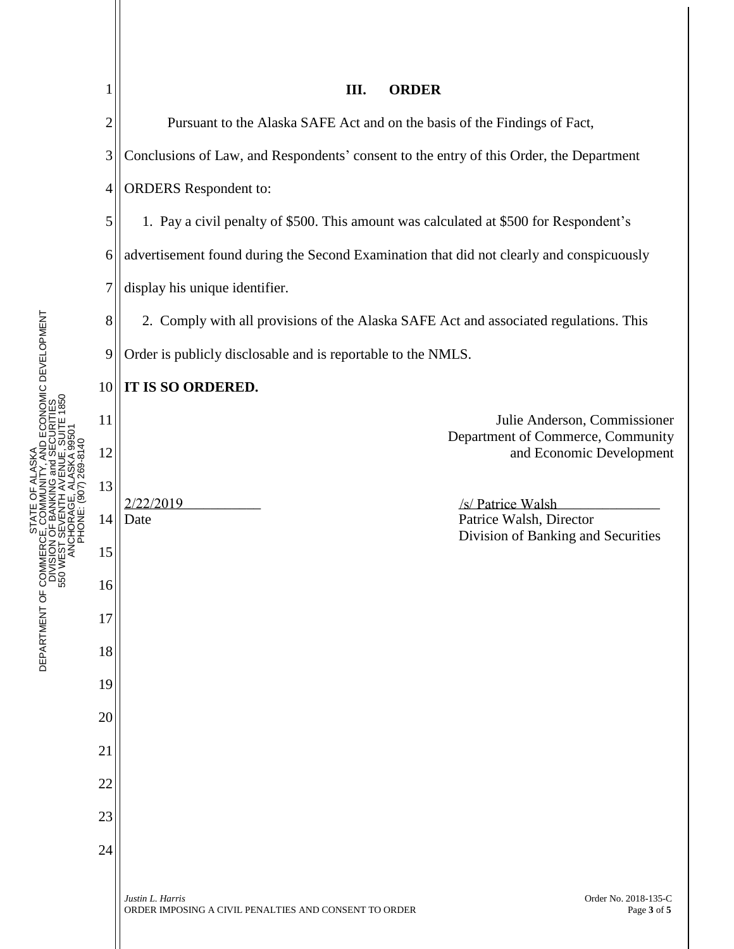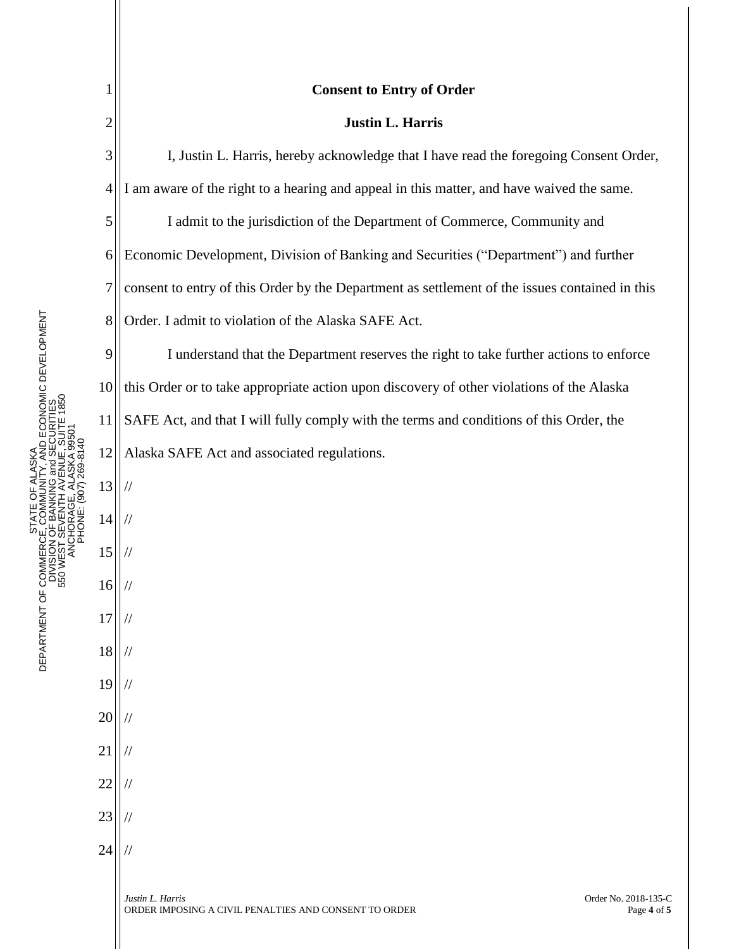|                | <b>Consent to Entry of Order</b>                                                                                 |
|----------------|------------------------------------------------------------------------------------------------------------------|
| $\overline{2}$ | <b>Justin L. Harris</b>                                                                                          |
| 3              | I, Justin L. Harris, hereby acknowledge that I have read the foregoing Consent Order,                            |
| $\overline{4}$ | I am aware of the right to a hearing and appeal in this matter, and have waived the same.                        |
| 5              | I admit to the jurisdiction of the Department of Commerce, Community and                                         |
| 6              | Economic Development, Division of Banking and Securities ("Department") and further                              |
| $\overline{7}$ | consent to entry of this Order by the Department as settlement of the issues contained in this                   |
| 8              | Order. I admit to violation of the Alaska SAFE Act.                                                              |
| 9              | I understand that the Department reserves the right to take further actions to enforce                           |
| 10             | this Order or to take appropriate action upon discovery of other violations of the Alaska                        |
| 11             | SAFE Act, and that I will fully comply with the terms and conditions of this Order, the                          |
| 12             | Alaska SAFE Act and associated regulations.                                                                      |
| 13             |                                                                                                                  |
| 14             |                                                                                                                  |
| 15             |                                                                                                                  |
| 16             |                                                                                                                  |
| 17             |                                                                                                                  |
| 18             |                                                                                                                  |
| 19             |                                                                                                                  |
| 20             |                                                                                                                  |
| 21             |                                                                                                                  |
| 22             |                                                                                                                  |
| 23             |                                                                                                                  |
| 24             |                                                                                                                  |
|                | Justin L. Harris<br>Order No. 2018-135-C<br>Page 4 of 5<br>ORDER IMPOSING A CIVIL PENALTIES AND CONSENT TO ORDER |